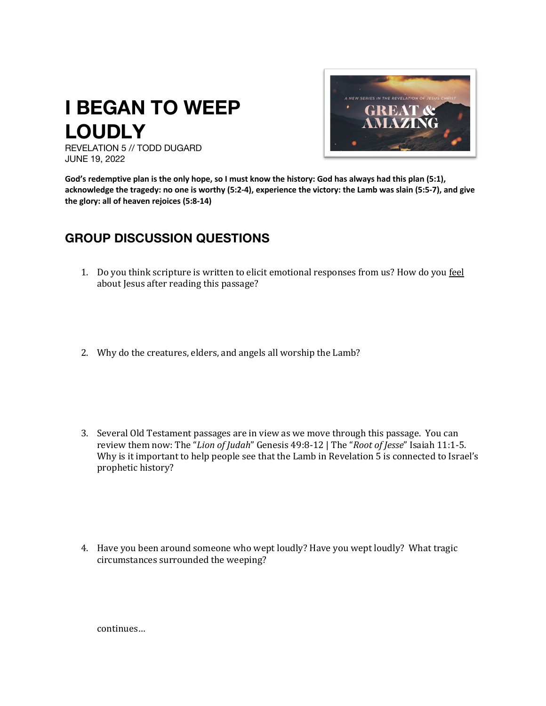



REVELATION 5 // TODD DUGARD JUNE 19, 2022

**God's redemptive plan is the only hope, so I must know the history: God has always had this plan (5:1), acknowledge the tragedy: no one is worthy (5:2-4), experience the victory: the Lamb was slain (5:5-7), and give the glory: all of heaven rejoices (5:8-14)** 

## **GROUP DISCUSSION QUESTIONS**

- 1. Do you think scripture is written to elicit emotional responses from us? How do you feel about Jesus after reading this passage?
- 2. Why do the creatures, elders, and angels all worship the Lamb?
- 3. Several Old Testament passages are in view as we move through this passage. You can review them now: The "*Lion of Judah*" Genesis 49:8-12 | The "*Root of Jesse*" Isaiah 11:1-5. Why is it important to help people see that the Lamb in Revelation 5 is connected to Israel's prophetic history?
- 4. Have you been around someone who wept loudly? Have you wept loudly? What tragic circumstances surrounded the weeping?

continues…